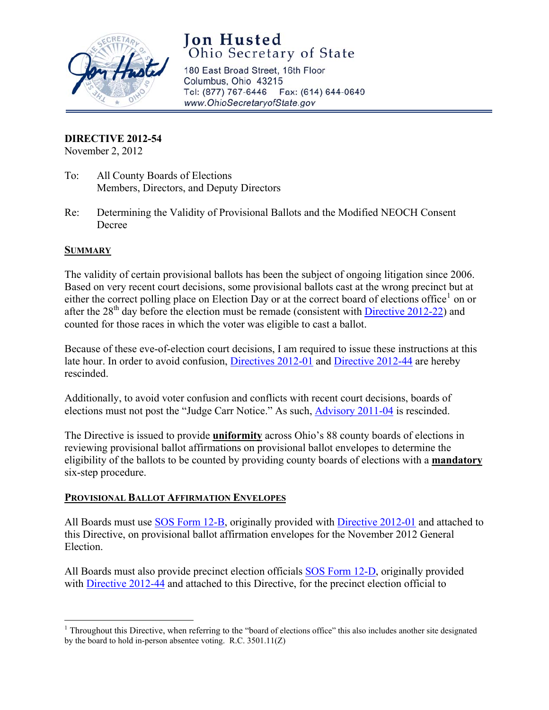

# **Jon Husted**  Ohio Secretary of State

180 East Broad Street, 16th Floor Columbus, Ohio 43215 Tel: (877) 767-6446 Fax: (614) 644-0649 [www.OhioSecretaryofState.gov](http://www.OhioSecretaryofState.gov)

# **DIRECTIVE 2012-54**

November 2, 2012

- To: All County Boards of Elections Members, Directors, and Deputy Directors
- Re: Determining the Validity of Provisional Ballots and the Modified NEOCH Consent Decree

# **SUMMARY**

The validity of certain provisional ballots has been the subject of ongoing litigation since 2006. Based on very recent court decisions, some provisional ballots cast at the wrong precinct but at either the correct polling place on Election Day or at the correct board of elections office<sup>1</sup> on or after the  $28<sup>th</sup>$  day before the election must be remade (consistent with [Directive 2012-22](http://www.sos.state.oh.us/SOS/Upload/elections/directives/2012/Dir2012-22.pdf)) and counted for those races in which the voter was eligible to cast a ballot.

Because of these eve-of-election court decisions, I am required to issue these instructions at this late hour. In order to avoid confusion, [Directives 2012-01](http://www.sos.state.oh.us/SOS/Upload/elections/directives/2012/Dir2012-01.pdf) and [Directive 2012-44](http://www.sos.state.oh.us/SOS/Upload/elections/directives/2012/Dir2012-44.pdfhttp:/www.sos.state.oh.us/SOS/Upload/elections/directives/2012/Dir2012-44.pdf) are hereby rescinded.

Additionally, to avoid voter confusion and conflicts with recent court decisions, boards of elections must not post the "Judge Carr Notice." As such, [Advisory 2011-04](http://www.sos.state.oh.us/SOS/Upload/elections/advisories/2011/Adv2011-04.pdf) is rescinded.

The Directive is issued to provide **uniformity** across Ohio's 88 county boards of elections in reviewing provisional ballot affirmations on provisional ballot envelopes to determine the eligibility of the ballots to be counted by providing county boards of elections with a **mandatory** six-step procedure.

# **PROVISIONAL BALLOT AFFIRMATION ENVELOPES**

All Boards must use [SOS Form 12-B,](http://www.sos.state.oh.us/sos/upload/elections/forms/12-B.pdf) originally provided with [Directive 2012-01](http://www.sos.state.oh.us/SOS/Upload/elections/directives/2012/Dir2012-01.pdf) and attached to this Directive, on provisional ballot affirmation envelopes for the November 2012 General Election.

All Boards must also provide precinct election officials [SOS Form 12-D](http://www.sos.state.oh.us/sos/upload/elections/forms/12-D.pdf), originally provided with [Directive 2012-44](http://www.sos.state.oh.us/SOS/Upload/elections/directives/2012/Dir2012-44.pdfhttp:/www.sos.state.oh.us/SOS/Upload/elections/directives/2012/Dir2012-44.pdf) and attached to this Directive, for the precinct election official to

<sup>&</sup>lt;sup>1</sup> Throughout this Directive, when referring to the "board of elections office" this also includes another site designated by the board to hold in-person absentee voting. R.C. 3501.11(Z)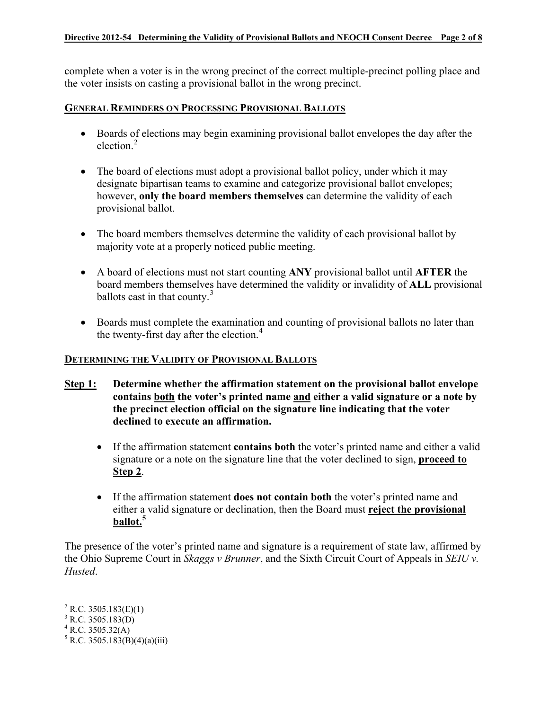complete when a voter is in the wrong precinct of the correct multiple-precinct polling place and the voter insists on casting a provisional ballot in the wrong precinct.

### **GENERAL REMINDERS ON PROCESSING PROVISIONAL BALLOTS**

- Boards of elections may begin examining provisional ballot envelopes the day after the election.<sup>2</sup>
- The board of elections must adopt a provisional ballot policy, under which it may designate bipartisan teams to examine and categorize provisional ballot envelopes; however, **only the board members themselves** can determine the validity of each provisional ballot.
- The board members themselves determine the validity of each provisional ballot by majority vote at a properly noticed public meeting.
- A board of elections must not start counting **ANY** provisional ballot until **AFTER** the board members themselves have determined the validity or invalidity of **ALL** provisional ballots cast in that county. $3$
- Boards must complete the examination and counting of provisional ballots no later than the twenty-first day after the election.<sup>4</sup>

# **DETERMINING THE VALIDITY OF PROVISIONAL BALLOTS**

- **Step 1: Determine whether the affirmation statement on the provisional ballot envelope contains both the voter's printed name and either a valid signature or a note by the precinct election official on the signature line indicating that the voter declined to execute an affirmation.** 
	- If the affirmation statement **contains both** the voter's printed name and either a valid signature or a note on the signature line that the voter declined to sign, **proceed to Step 2**.
	- If the affirmation statement **does not contain both** the voter's printed name and either a valid signature or declination, then the Board must **reject the provisional ballot.<sup>5</sup>**

The presence of the voter's printed name and signature is a requirement of state law, affirmed by the Ohio Supreme Court in *Skaggs v Brunner*, and the Sixth Circuit Court of Appeals in *SEIU v. Husted*.

 $^{4}$  R.C. 3505.32(A)

 $^{2}$  R.C. 3505.183(E)(1)

 $3$  R.C. 3505.183(D)

 $5 R.C. 3505.52(11)$ <br> $5 R.C. 3505.183(B)(4)(a)(iii)$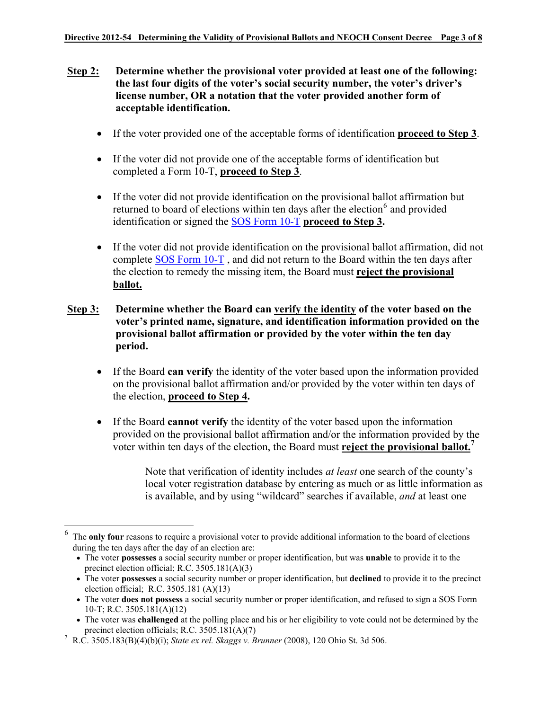- **Step 2: Determine whether the provisional voter provided at least one of the following: the last four digits of the voter's social security number, the voter's driver's license number, OR a notation that the voter provided another form of acceptable identification.**
	- If the voter provided one of the acceptable forms of identification **proceed to Step 3**.
	- If the voter did not provide one of the acceptable forms of identification but completed a Form 10-T, **proceed to Step 3**.
	- If the voter did not provide identification on the provisional ballot affirmation but returned to board of elections within ten days after the election<sup>6</sup> and provided identification or signed the [SOS Form 10-T](http://www.sos.state.oh.us/sos/upload/elections/forms/10-T.pdf) **proceed to Step 3.**
	- If the voter did not provide identification on the provisional ballot affirmation, did not complete [SOS Form 10-T](http://www.sos.state.oh.us/sos/upload/elections/forms/10-T.pdf) , and did not return to the Board within the ten days after the election to remedy the missing item, the Board must **reject the provisional ballot.**
- **Step 3: Determine whether the Board can verify the identity of the voter based on the voter's printed name, signature, and identification information provided on the provisional ballot affirmation or provided by the voter within the ten day period.**
	- If the Board **can verify** the identity of the voter based upon the information provided on the provisional ballot affirmation and/or provided by the voter within ten days of the election, **proceed to Step 4.**
	- If the Board **cannot verify** the identity of the voter based upon the information provided on the provisional ballot affirmation and/or the information provided by the voter within ten days of the election, the Board must **reject the provisional ballot.<sup>7</sup>**

Note that verification of identity includes *at least* one search of the county's local voter registration database by entering as much or as little information as is available, and by using "wildcard" searches if available, *and* at least one

The **only four** reasons to require a provisional voter to provide additional information to the board of elections during the ten days after the day of an election are:

<sup>•</sup> The voter **possesses** a social security number or proper identification, but was **unable** to provide it to the precinct election official; R.C. 3505.181(A)(3)

<sup>•</sup> The voter **possesses** a social security number or proper identification, but **declined** to provide it to the precinct election official; R.C. 3505.181 (A)(13)

<sup>•</sup> The voter **does not possess** a social security number or proper identification, and refused to sign a SOS Form 10-T; R.C. 3505.181(A)(12)

<sup>•</sup> The voter was **challenged** at the polling place and his or her eligibility to vote could not be determined by the precinct election officials; R.C. 3505.181(A)(7)

<sup>7</sup> R.C. 3505.183(B)(4)(b)(i); *State ex rel. Skaggs v. Brunner* (2008), 120 Ohio St. 3d 506.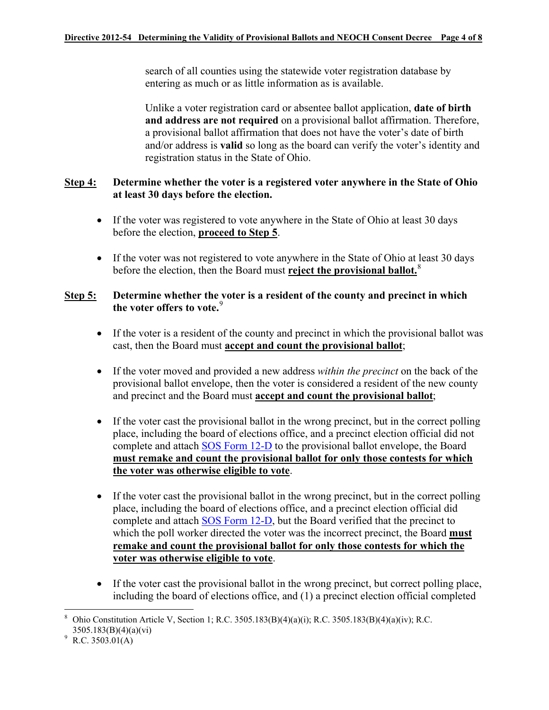search of all counties using the statewide voter registration database by entering as much or as little information as is available.

Unlike a voter registration card or absentee ballot application, **date of birth and address are not required** on a provisional ballot affirmation. Therefore, a provisional ballot affirmation that does not have the voter's date of birth and/or address is **valid** so long as the board can verify the voter's identity and registration status in the State of Ohio.

# **Step 4: Determine whether the voter is a registered voter anywhere in the State of Ohio at least 30 days before the election.**

- If the voter was registered to vote anywhere in the State of Ohio at least 30 days before the election, **proceed to Step 5**.
- If the voter was not registered to vote anywhere in the State of Ohio at least 30 days before the election, then the Board must **reject the provisional ballot.**<sup>8</sup>

# **Step 5: Determine whether the voter is a resident of the county and precinct in which the voter offers to vote.**<sup>9</sup>

- If the voter is a resident of the county and precinct in which the provisional ballot was cast, then the Board must **accept and count the provisional ballot**;
- If the voter moved and provided a new address *within the precinct* on the back of the provisional ballot envelope, then the voter is considered a resident of the new county and precinct and the Board must **accept and count the provisional ballot**;
- If the voter cast the provisional ballot in the wrong precinct, but in the correct polling place, including the board of elections office, and a precinct election official did not complete and attach [SOS Form 12-D](http://www.sos.state.oh.us/sos/upload/elections/forms/12-D.pdf) to the provisional ballot envelope, the Board **must remake and count the provisional ballot for only those contests for which the voter was otherwise eligible to vote**.
- If the voter cast the provisional ballot in the wrong precinct, but in the correct polling place, including the board of elections office, and a precinct election official did complete and attach [SOS Form 12-D,](http://www.sos.state.oh.us/sos/upload/elections/forms/12-D.pdf) but the Board verified that the precinct to which the poll worker directed the voter was the incorrect precinct, the Board **must remake and count the provisional ballot for only those contests for which the voter was otherwise eligible to vote**.
- If the voter cast the provisional ballot in the wrong precinct, but correct polling place, including the board of elections office, and (1) a precinct election official completed

<sup>8</sup> Ohio Constitution Article V, Section 1; R.C. 3505.183(B)(4)(a)(i); R.C. 3505.183(B)(4)(a)(iv); R.C. 3505.183(B)(4)(a)(vi)

 $^9$  R.C. 3503.01(A)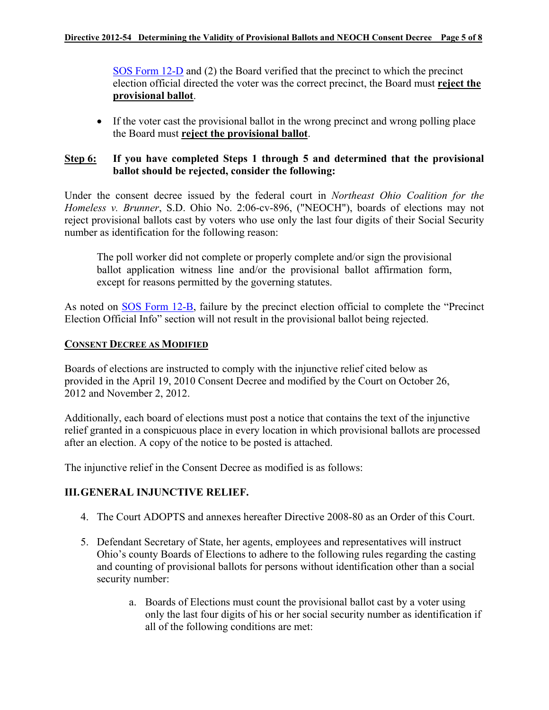[SOS Form 12-D](http://www.sos.state.oh.us/sos/upload/elections/forms/12-D.pdf) and (2) the Board verified that the precinct to which the precinct election official directed the voter was the correct precinct, the Board must **reject the provisional ballot**.

• If the voter cast the provisional ballot in the wrong precinct and wrong polling place the Board must **reject the provisional ballot**.

# **Step 6: If you have completed Steps 1 through 5 and determined that the provisional ballot should be rejected, consider the following:**

Under the consent decree issued by the federal court in *Northeast Ohio Coalition for the Homeless v. Brunner*, S.D. Ohio No. 2:06-cv-896, ("NEOCH"), boards of elections may not reject provisional ballots cast by voters who use only the last four digits of their Social Security number as identification for the following reason:

The poll worker did not complete or properly complete and/or sign the provisional ballot application witness line and/or the provisional ballot affirmation form, except for reasons permitted by the governing statutes.

As noted on [SOS Form 12-B,](http://www.sos.state.oh.us/sos/upload/elections/forms/12-B.pdf) failure by the precinct election official to complete the "Precinct Election Official Info" section will not result in the provisional ballot being rejected.

# **CONSENT DECREE AS MODIFIED**

Boards of elections are instructed to comply with the injunctive relief cited below as provided in the April 19, 2010 Consent Decree and modified by the Court on October 26, 2012 and November 2, 2012.

Additionally, each board of elections must post a notice that contains the text of the injunctive relief granted in a conspicuous place in every location in which provisional ballots are processed after an election. A copy of the notice to be posted is attached.

The injunctive relief in the Consent Decree as modified is as follows:

# **III. GENERAL INJUNCTIVE RELIEF.**

- 4. The Court ADOPTS and annexes hereafter Directive 2008-80 as an Order of this Court.
- 5. Defendant Secretary of State, her agents, employees and representatives will instruct Ohio's county Boards of Elections to adhere to the following rules regarding the casting and counting of provisional ballots for persons without identification other than a social security number:
	- a. Boards of Elections must count the provisional ballot cast by a voter using only the last four digits of his or her social security number as identification if all of the following conditions are met: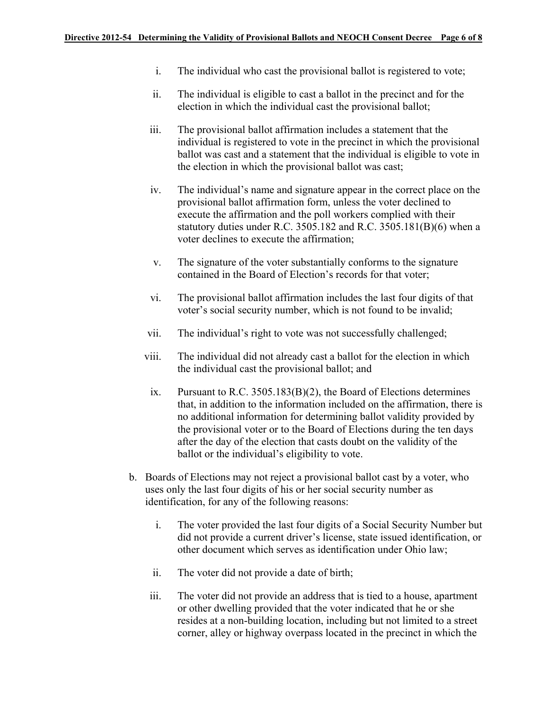- i. The individual who cast the provisional ballot is registered to vote;
- ii. The individual is eligible to cast a ballot in the precinct and for the election in which the individual cast the provisional ballot;
- iii. The provisional ballot affirmation includes a statement that the individual is registered to vote in the precinct in which the provisional ballot was cast and a statement that the individual is eligible to vote in the election in which the provisional ballot was cast;
- iv. The individual's name and signature appear in the correct place on the provisional ballot affirmation form, unless the voter declined to execute the affirmation and the poll workers complied with their statutory duties under R.C. 3505.182 and R.C. 3505.181(B)(6) when a voter declines to execute the affirmation;
- v. The signature of the voter substantially conforms to the signature contained in the Board of Election's records for that voter;
- vi. The provisional ballot affirmation includes the last four digits of that voter's social security number, which is not found to be invalid;
- vii. The individual's right to vote was not successfully challenged;
- viii. The individual did not already cast a ballot for the election in which the individual cast the provisional ballot; and
- ix. Pursuant to R.C. 3505.183(B)(2), the Board of Elections determines that, in addition to the information included on the affirmation, there is no additional information for determining ballot validity provided by the provisional voter or to the Board of Elections during the ten days after the day of the election that casts doubt on the validity of the ballot or the individual's eligibility to vote.
- b. Boards of Elections may not reject a provisional ballot cast by a voter, who uses only the last four digits of his or her social security number as identification, for any of the following reasons:
	- i. The voter provided the last four digits of a Social Security Number but did not provide a current driver's license, state issued identification, or other document which serves as identification under Ohio law;
	- ii. The voter did not provide a date of birth;
	- iii. The voter did not provide an address that is tied to a house, apartment or other dwelling provided that the voter indicated that he or she resides at a non-building location, including but not limited to a street corner, alley or highway overpass located in the precinct in which the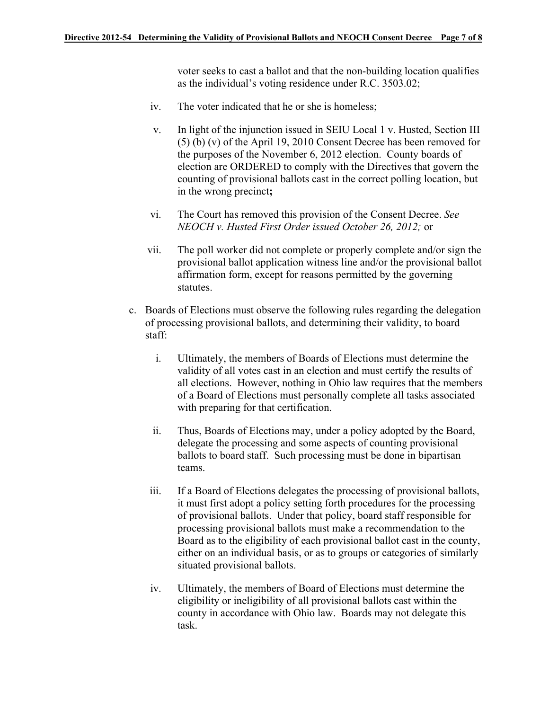voter seeks to cast a ballot and that the non-building location qualifies as the individual's voting residence under R.C. 3503.02;

- iv. The voter indicated that he or she is homeless;
	- v. In light of the injunction issued in SEIU Local 1 v. Husted, Section III (5) (b) (v) of the April 19, 2010 Consent Decree has been removed for the purposes of the November 6, 2012 election. County boards of election are ORDERED to comply with the Directives that govern the counting of provisional ballots cast in the correct polling location, but in the wrong precinct**;**
- vi. The Court has removed this provision of the Consent Decree. *See NEOCH v. Husted First Order issued October 26, 2012;* or
- vii. The poll worker did not complete or properly complete and/or sign the provisional ballot application witness line and/or the provisional ballot affirmation form, except for reasons permitted by the governing statutes.
- c. Boards of Elections must observe the following rules regarding the delegation of processing provisional ballots, and determining their validity, to board staff:
	- i. Ultimately, the members of Boards of Elections must determine the validity of all votes cast in an election and must certify the results of all elections. However, nothing in Ohio law requires that the members of a Board of Elections must personally complete all tasks associated with preparing for that certification.
	- ii. Thus, Boards of Elections may, under a policy adopted by the Board, delegate the processing and some aspects of counting provisional ballots to board staff. Such processing must be done in bipartisan teams.
	- iii. If a Board of Elections delegates the processing of provisional ballots, it must first adopt a policy setting forth procedures for the processing of provisional ballots. Under that policy, board staff responsible for processing provisional ballots must make a recommendation to the Board as to the eligibility of each provisional ballot cast in the county, either on an individual basis, or as to groups or categories of similarly situated provisional ballots.
	- iv. Ultimately, the members of Board of Elections must determine the eligibility or ineligibility of all provisional ballots cast within the county in accordance with Ohio law. Boards may not delegate this task.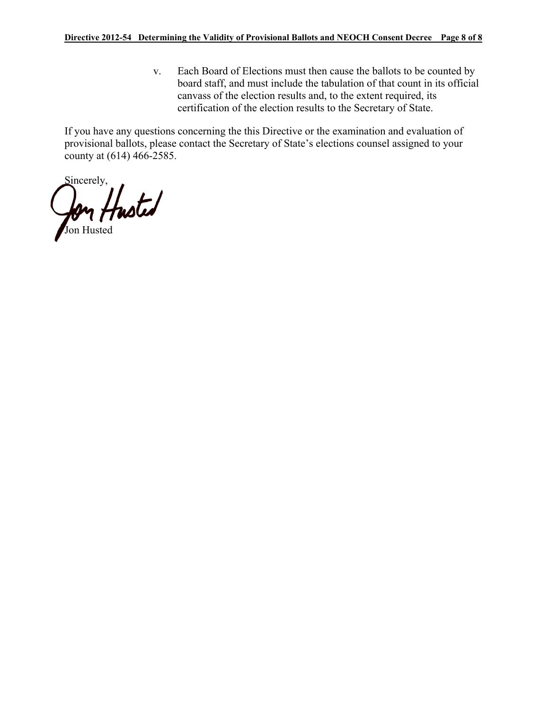v. Each Board of Elections must then cause the ballots to be counted by board staff, and must include the tabulation of that count in its official canvass of the election results and, to the extent required, its certification of the election results to the Secretary of State.

If you have any questions concerning the this Directive or the examination and evaluation of provisional ballots, please contact the Secretary of State's elections counsel assigned to your county at (614) 466-2585.

Sincerely, Jon Husted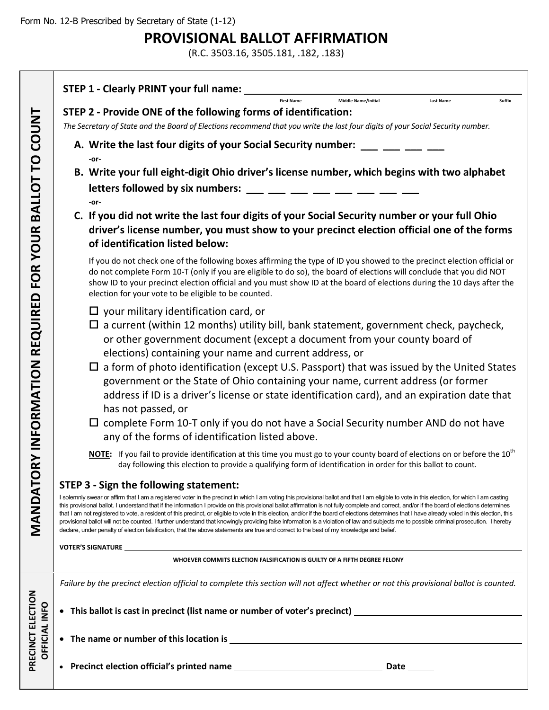PRECINCT ELECTION

# **PROVISIONAL BALLOT AFFIRMATION**

(R.C. 3503.16, 3505.181, .182, .183)

|                      | STEP 1 - Clearly PRINT your full name:                                                                                                                                                                                                                                                                                                                                                                                                                                                                                                                                                                                                                                                                                                                                                                                                                                                                                                     |  |  |  |
|----------------------|--------------------------------------------------------------------------------------------------------------------------------------------------------------------------------------------------------------------------------------------------------------------------------------------------------------------------------------------------------------------------------------------------------------------------------------------------------------------------------------------------------------------------------------------------------------------------------------------------------------------------------------------------------------------------------------------------------------------------------------------------------------------------------------------------------------------------------------------------------------------------------------------------------------------------------------------|--|--|--|
|                      | Middle Name/Initial<br><b>First Name</b><br>Suffix<br><b>Last Name</b>                                                                                                                                                                                                                                                                                                                                                                                                                                                                                                                                                                                                                                                                                                                                                                                                                                                                     |  |  |  |
| <b>COUNT</b>         | STEP 2 - Provide ONE of the following forms of identification:                                                                                                                                                                                                                                                                                                                                                                                                                                                                                                                                                                                                                                                                                                                                                                                                                                                                             |  |  |  |
|                      | The Secretary of State and the Board of Elections recommend that you write the last four digits of your Social Security number.                                                                                                                                                                                                                                                                                                                                                                                                                                                                                                                                                                                                                                                                                                                                                                                                            |  |  |  |
|                      | A. Write the last four digits of your Social Security number: ___ __ __ __ __                                                                                                                                                                                                                                                                                                                                                                                                                                                                                                                                                                                                                                                                                                                                                                                                                                                              |  |  |  |
| p                    | -or-                                                                                                                                                                                                                                                                                                                                                                                                                                                                                                                                                                                                                                                                                                                                                                                                                                                                                                                                       |  |  |  |
| $\vdash$             | B. Write your full eight-digit Ohio driver's license number, which begins with two alphabet                                                                                                                                                                                                                                                                                                                                                                                                                                                                                                                                                                                                                                                                                                                                                                                                                                                |  |  |  |
|                      | letters followed by six numbers: $\frac{1}{1}$ = $\frac{1}{1}$ = $\frac{1}{1}$ = $\frac{1}{1}$ = $\frac{1}{1}$ = $\frac{1}{1}$                                                                                                                                                                                                                                                                                                                                                                                                                                                                                                                                                                                                                                                                                                                                                                                                             |  |  |  |
| <b>BALLO</b>         | -or-<br>C. If you did not write the last four digits of your Social Security number or your full Ohio                                                                                                                                                                                                                                                                                                                                                                                                                                                                                                                                                                                                                                                                                                                                                                                                                                      |  |  |  |
| <b>YOUR</b>          | driver's license number, you must show to your precinct election official one of the forms<br>of identification listed below:                                                                                                                                                                                                                                                                                                                                                                                                                                                                                                                                                                                                                                                                                                                                                                                                              |  |  |  |
| <b>FOR</b>           | If you do not check one of the following boxes affirming the type of ID you showed to the precinct election official or<br>do not complete Form 10-T (only if you are eligible to do so), the board of elections will conclude that you did NOT<br>show ID to your precinct election official and you must show ID at the board of elections during the 10 days after the<br>election for your vote to be eligible to be counted.                                                                                                                                                                                                                                                                                                                                                                                                                                                                                                          |  |  |  |
|                      | $\Box$ your military identification card, or                                                                                                                                                                                                                                                                                                                                                                                                                                                                                                                                                                                                                                                                                                                                                                                                                                                                                               |  |  |  |
| <b>REQUIRED</b>      | $\Box$ a current (within 12 months) utility bill, bank statement, government check, paycheck,<br>or other government document (except a document from your county board of<br>elections) containing your name and current address, or                                                                                                                                                                                                                                                                                                                                                                                                                                                                                                                                                                                                                                                                                                      |  |  |  |
| RY INFORMATION       | $\Box$ a form of photo identification (except U.S. Passport) that was issued by the United States<br>government or the State of Ohio containing your name, current address (or former                                                                                                                                                                                                                                                                                                                                                                                                                                                                                                                                                                                                                                                                                                                                                      |  |  |  |
|                      | address if ID is a driver's license or state identification card), and an expiration date that                                                                                                                                                                                                                                                                                                                                                                                                                                                                                                                                                                                                                                                                                                                                                                                                                                             |  |  |  |
|                      | has not passed, or<br>$\Box$ complete Form 10-T only if you do not have a Social Security number AND do not have                                                                                                                                                                                                                                                                                                                                                                                                                                                                                                                                                                                                                                                                                                                                                                                                                           |  |  |  |
|                      | any of the forms of identification listed above.                                                                                                                                                                                                                                                                                                                                                                                                                                                                                                                                                                                                                                                                                                                                                                                                                                                                                           |  |  |  |
|                      | NOTE: If you fail to provide identification at this time you must go to your county board of elections on or before the 10 <sup>th</sup><br>day following this election to provide a qualifying form of identification in order for this ballot to count.                                                                                                                                                                                                                                                                                                                                                                                                                                                                                                                                                                                                                                                                                  |  |  |  |
|                      | <b>STEP 3 - Sign the following statement:</b>                                                                                                                                                                                                                                                                                                                                                                                                                                                                                                                                                                                                                                                                                                                                                                                                                                                                                              |  |  |  |
| MANDATO              | I solemnly swear or affirm that I am a registered voter in the precinct in which I am voting this provisional ballot and that I am eligible to vote in this election, for which I am casting<br>this provisional ballot. I understand that if the information I provide on this provisional ballot affirmation is not fully complete and correct, and/or if the board of elections determines<br>that I am not registered to vote, a resident of this precinct, or eligible to vote in this election, and/or if the board of elections determines that I have already voted in this election, this<br>provisional ballot will not be counted. I further understand that knowingly providing false information is a violation of law and subjects me to possible criminal prosecution. I hereby<br>declare, under penalty of election falsification, that the above statements are true and correct to the best of my knowledge and belief. |  |  |  |
|                      | <b>VOTER'S SIGNATURE</b>                                                                                                                                                                                                                                                                                                                                                                                                                                                                                                                                                                                                                                                                                                                                                                                                                                                                                                                   |  |  |  |
|                      | WHOEVER COMMITS ELECTION FALSIFICATION IS GUILTY OF A FIFTH DEGREE FELONY                                                                                                                                                                                                                                                                                                                                                                                                                                                                                                                                                                                                                                                                                                                                                                                                                                                                  |  |  |  |
|                      | Failure by the precinct election official to complete this section will not affect whether or not this provisional ballot is counted.                                                                                                                                                                                                                                                                                                                                                                                                                                                                                                                                                                                                                                                                                                                                                                                                      |  |  |  |
| PRECINCT ELECTION    |                                                                                                                                                                                                                                                                                                                                                                                                                                                                                                                                                                                                                                                                                                                                                                                                                                                                                                                                            |  |  |  |
| <b>OFFICIAL INFO</b> |                                                                                                                                                                                                                                                                                                                                                                                                                                                                                                                                                                                                                                                                                                                                                                                                                                                                                                                                            |  |  |  |
|                      |                                                                                                                                                                                                                                                                                                                                                                                                                                                                                                                                                                                                                                                                                                                                                                                                                                                                                                                                            |  |  |  |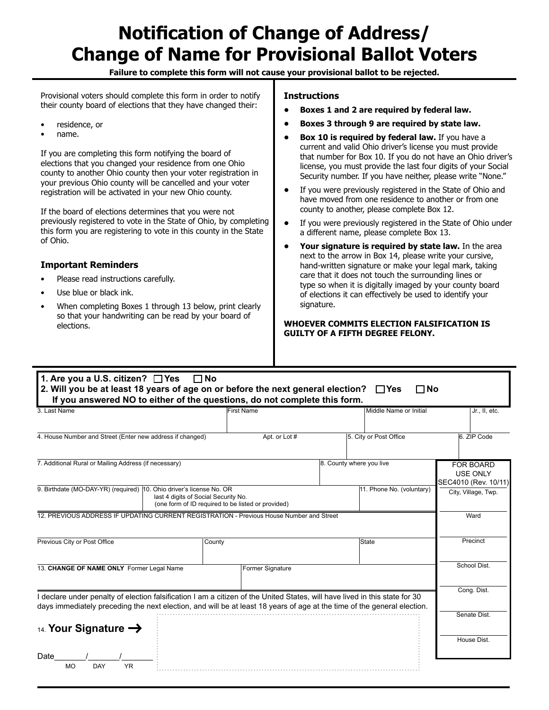# **Notification of Change of Address/ Change of Name for Provisional Ballot Voters**

**Failure to complete this form will not cause your provisional ballot to be rejected.**

Provisional voters should complete this form in order to notify their county board of elections that they have changed their:

- residence, or
- name.

If you are completing this form notifying the board of elections that you changed your residence from one Ohio county to another Ohio county then your voter registration in your previous Ohio county will be cancelled and your voter registration will be activated in your new Ohio county.

If the board of elections determines that you were not previously registered to vote in the State of Ohio, by completing this form you are registering to vote in this county in the State of Ohio.

#### **Important Reminders**

- Please read instructions carefully.
- Use blue or black ink.
- When completing Boxes 1 through 13 below, print clearly so that your handwriting can be read by your board of elections.

#### **Instructions**

- **Boxes 1 and 2 are required by federal law.**
- **Boxes 3 through 9 are required by state law.**
- **Box 10 is required by federal law.** If you have a current and valid Ohio driver's license you must provide that number for Box 10. If you do not have an Ohio driver's license, you must provide the last four digits of your Social Security number. If you have neither, please write "None."
- If you were previously registered in the State of Ohio and have moved from one residence to another or from one county to another, please complete Box 12.
- If you were previously registered in the State of Ohio under a different name, please complete Box 13.
- **Your signature is required by state law.** In the area next to the arrow in Box 14, please write your cursive, hand-written signature or make your legal mark, taking care that it does not touch the surrounding lines or type so when it is digitally imaged by your county board of elections it can effectively be used to identify your signature.

#### **WHOEVER COMMITS ELECTION FALSIFICATION IS GUILTY OF A FIFTH DEGREE FELONY.**

| 3. Last Name                                                                                                                                                                                                                                           | <b>First Name</b>                                  | Middle Name or Initial    | Jr., II, etc.                                        |
|--------------------------------------------------------------------------------------------------------------------------------------------------------------------------------------------------------------------------------------------------------|----------------------------------------------------|---------------------------|------------------------------------------------------|
| 4. House Number and Street (Enter new address if changed)                                                                                                                                                                                              | Apt. or Lot #                                      | 5. City or Post Office    | 6. ZIP Code                                          |
| 7. Additional Rural or Mailing Address (if necessary)                                                                                                                                                                                                  |                                                    | 8. County where you live  | <b>FOR BOARD</b><br>USE ONLY<br>SEC4010 (Rev. 10/11) |
| 9. Birthdate (MO-DAY-YR) (required)  10. Ohio driver's license No. OR<br>last 4 digits of Social Security No.                                                                                                                                          | (one form of ID required to be listed or provided) | 11. Phone No. (voluntary) | City, Village, Twp.                                  |
| 12. PREVIOUS ADDRESS IF UPDATING CURRENT REGISTRATION - Previous House Number and Street                                                                                                                                                               |                                                    |                           | Ward                                                 |
| Previous City or Post Office<br>County                                                                                                                                                                                                                 |                                                    | State                     | Precinct                                             |
| 13. CHANGE OF NAME ONLY Former Legal Name                                                                                                                                                                                                              | <b>Former Signature</b>                            |                           | School Dist.                                         |
| I declare under penalty of election falsification I am a citizen of the United States, will have lived in this state for 30<br>days immediately preceding the next election, and will be at least 18 years of age at the time of the general election. |                                                    |                           | Cong. Dist.                                          |
| 14. Your Signature $\rightarrow$                                                                                                                                                                                                                       |                                                    |                           | Senate Dist.                                         |
|                                                                                                                                                                                                                                                        |                                                    |                           | House Dist.                                          |
| Date<br><b>YR</b><br><b>MO</b><br>DAY                                                                                                                                                                                                                  |                                                    |                           |                                                      |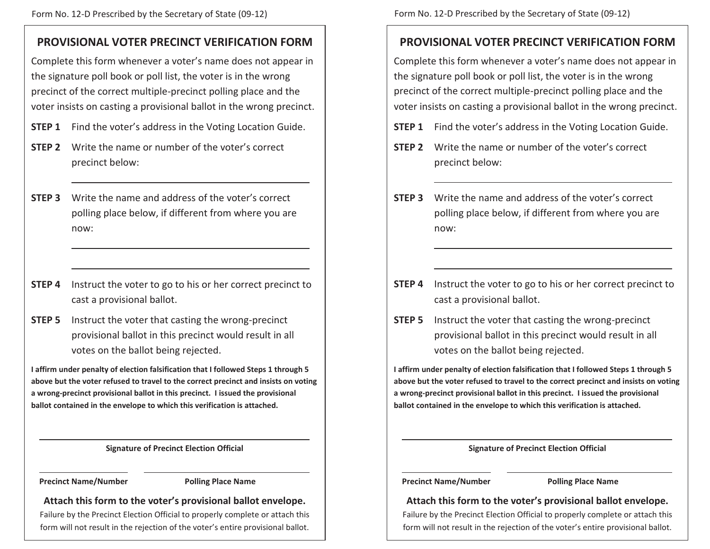# **PROVISIONAL VOTER PRECINCT VERIFICATION FORM**

Complete this form whenever a voter's name does not appear in the signature poll book or poll list, the voter is in the wrong precinct of the correct multiple-precinct polling place and the voter insists on casting a provisional ballot in the wrong precinct.

- **STEP 1** Find the voter's address in the Voting Location Guide.
- **STEP 2** Write the name or number of the voter's correct precinct below:
- **STEP 3** Write the name and address of the voter's correct polling place below, if different from where you are now:
- **STEP 4** Instruct the voter to go to his or her correct precinct to cast a provisional ballot.
- **STEP 5** Instruct the voter that casting the wrong-precinct provisional ballot in this precinct would result in all votes on the ballot being rejected.

**I affirm under penalty of election falsification that I followed Steps 1 through 5 above but the voter refused to travel to the correct precinct and insists on voting a wrong-precinct provisional ballot in this precinct. I issued the provisional ballot contained in the envelope to which this verification is attached.**

**Signature of Precinct Election Official** 

#### **Precinct Name/Number Polling Place Name**

**Attach this form to the voter's provisional ballot envelope.**

Failure by the Precinct Election Official to properly complete or attach this form will not result in the rejection of the voter's entire provisional ballot.

# **PROVISIONAL VOTER PRECINCT VERIFICATION FORM**

Complete this form whenever a voter's name does not appear in the signature poll book or poll list, the voter is in the wrong precinct of the correct multiple-precinct polling place and the voter insists on casting a provisional ballot in the wrong precinct.

- **STEP 1** Find the voter's address in the Voting Location Guide.
- **STEP 2** Write the name or number of the voter's correct precinct below:
- **STEP 3** Write the name and address of the voter's correct polling place below, if different from where you are now:
- **STEP 4** Instruct the voter to go to his or her correct precinct to cast a provisional ballot.
- **STEP 5** Instruct the voter that casting the wrong-precinct provisional ballot in this precinct would result in all votes on the ballot being rejected.

**I affirm under penalty of election falsification that I followed Steps 1 through 5 above but the voter refused to travel to the correct precinct and insists on voting a wrong-precinct provisional ballot in this precinct. I issued the provisional ballot contained in the envelope to which this verification is attached.**

### **Signature of Precinct Election Official**

**Precinct Name/Number Polling Place Name** 

# **Attach this form to the voter's provisional ballot envelope.**

Failure by the Precinct Election Official to properly complete or attach this form will not result in the rejection of the voter's entire provisional ballot.